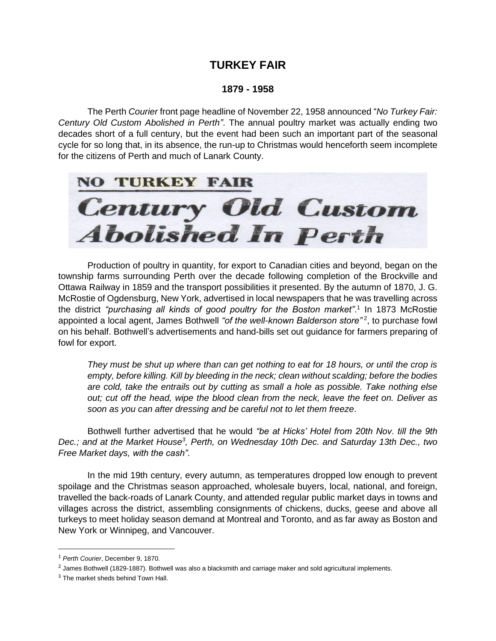## **TURKEY FAIR**

## **1879 - 1958**

The Perth *Courier* front page headline of November 22, 1958 announced "*No Turkey Fair: Century Old Custom Abolished in Perth"*. The annual poultry market was actually ending two decades short of a full century, but the event had been such an important part of the seasonal cycle for so long that, in its absence, the run-up to Christmas would henceforth seem incomplete for the citizens of Perth and much of Lanark County.



Production of poultry in quantity, for export to Canadian cities and beyond, began on the township farms surrounding Perth over the decade following completion of the Brockville and Ottawa Railway in 1859 and the transport possibilities it presented. By the autumn of 1870, J. G. McRostie of Ogdensburg, New York, advertised in local newspapers that he was travelling across the district "purchasing all kinds of good poultry for the Boston market".<sup>1</sup> In 1873 McRostie appointed a local agent, James Bothwell "of the well-known Balderson store"<sup>2</sup>, to purchase fowl on his behalf. Bothwell's advertisements and hand-bills set out guidance for farmers preparing of fowl for export.

*They must be shut up where than can get nothing to eat for 18 hours, or until the crop is empty, before killing. Kill by bleeding in the neck; clean without scalding; before the bodies are cold, take the entrails out by cutting as small a hole as possible. Take nothing else out; cut off the head, wipe the blood clean from the neck, leave the feet on. Deliver as soon as you can after dressing and be careful not to let them freeze*.

Bothwell further advertised that he would *"be at Hicks' Hotel from 20th Nov. till the 9th*  Dec.; and at the Market House<sup>3</sup>, Perth, on Wednesday 10th Dec. and Saturday 13th Dec., two *Free Market days, with the cash"*.

In the mid 19th century, every autumn, as temperatures dropped low enough to prevent spoilage and the Christmas season approached, wholesale buyers, local, national, and foreign, travelled the back-roads of Lanark County, and attended regular public market days in towns and villages across the district, assembling consignments of chickens, ducks, geese and above all turkeys to meet holiday season demand at Montreal and Toronto, and as far away as Boston and New York or Winnipeg, and Vancouver.

<sup>1</sup> *Perth Courier*, December 9, 1870.

<sup>&</sup>lt;sup>2</sup> James Bothwell (1829-1887). Bothwell was also a blacksmith and carriage maker and sold agricultural implements.

<sup>&</sup>lt;sup>3</sup> The market sheds behind Town Hall.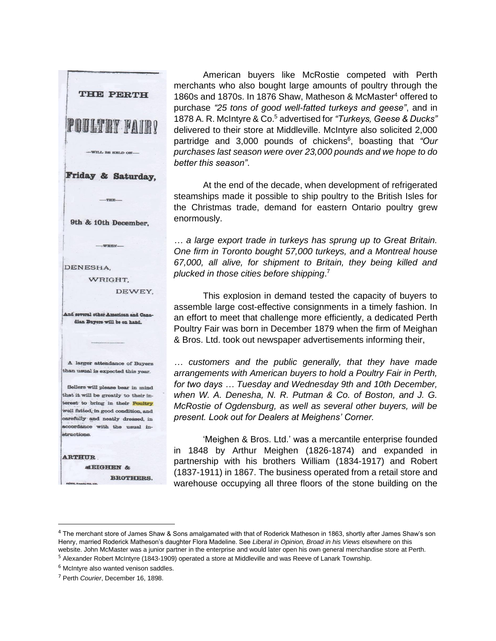

**BROTHERS.** 

American buyers like McRostie competed with Perth merchants who also bought large amounts of poultry through the 1860s and 1870s. In 1876 Shaw, Matheson & McMaster<sup>4</sup> offered to purchase *"25 tons of good well-fatted turkeys and geese"*, and in 1878 A. R. McIntyre & Co. <sup>5</sup> advertised for *"Turkeys, Geese & Ducks"* delivered to their store at Middleville. McIntyre also solicited 2,000 partridge and 3,000 pounds of chickens<sup>6</sup>, boasting that "Our *purchases last season were over 23,000 pounds and we hope to do better this season"*.

At the end of the decade, when development of refrigerated steamships made it possible to ship poultry to the British Isles for the Christmas trade, demand for eastern Ontario poultry grew enormously.

*… a large export trade in turkeys has sprung up to Great Britain. One firm in Toronto bought 57,000 turkeys, and a Montreal house 67,000, all alive, for shipment to Britain, they being killed and plucked in those cities before shipping*. 7

This explosion in demand tested the capacity of buyers to assemble large cost-effective consignments in a timely fashion. In an effort to meet that challenge more efficiently, a dedicated Perth Poultry Fair was born in December 1879 when the firm of Meighan & Bros. Ltd. took out newspaper advertisements informing their,

*… customers and the public generally, that they have made arrangements with American buyers to hold a Poultry Fair in Perth, for two days … Tuesday and Wednesday 9th and 10th December, when W. A. Denesha, N. R. Putman & Co. of Boston, and J. G. McRostie of Ogdensburg, as well as several other buyers, will be present. Look out for Dealers at Meighens' Corner.*

'Meighen & Bros. Ltd.' was a mercantile enterprise founded in 1848 by Arthur Meighen (1826-1874) and expanded in partnership with his brothers William (1834-1917) and Robert (1837-1911) in 1867. The business operated from a retail store and warehouse occupying all three floors of the stone building on the

<sup>&</sup>lt;sup>4</sup> The merchant store of James Shaw & Sons amalgamated with that of Roderick Matheson in 1863, shortly after James Shaw's son Henry, married Roderick Matheson's daughter Flora Madeline. See *Liberal in Opinion, Broad in his Views* elsewhere on this website. John McMaster was a junior partner in the enterprise and would later open his own general merchandise store at Perth. <sup>5</sup> Alexander Robert McIntyre (1843-1909) operated a store at Middleville and was Reeve of Lanark Township.

 $6$  McIntyre also wanted venison saddles.

<sup>7</sup> Perth *Courier*, December 16, 1898.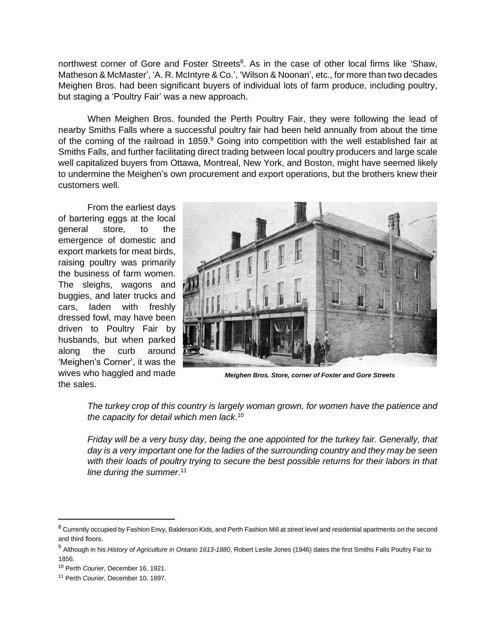northwest corner of Gore and Foster Streets<sup>8</sup>. As in the case of other local firms like 'Shaw, Matheson & McMaster', 'A. R. McIntyre & Co.', 'Wilson & Noonan', etc., for more than two decades Meighen Bros. had been significant buyers of individual lots of farm produce, including poultry, but staging a 'Poultry Fair' was a new approach.

When Meighen Bros. founded the Perth Poultry Fair, they were following the lead of nearby Smiths Falls where a successful poultry fair had been held annually from about the time of the coming of the railroad in 1859. $9$  Going into competition with the well established fair at Smiths Falls, and further facilitating direct trading between local poultry producers and large scale well capitalized buyers from Ottawa, Montreal, New York, and Boston, might have seemed likely to undermine the Meighen's own procurement and export operations, but the brothers knew their customers well.

From the earliest days of bartering eggs at the local general store, to the emergence of domestic and export markets for meat birds, raising poultry was primarily the business of farm women. The sleighs, wagons and buggies, and later trucks and cars, laden with freshly dressed fowl, may have been driven to Poultry Fair by husbands, but when parked along the curb around 'Meighen's Corner', it was the wives who haggled and made the sales.



*Meighen Bros. Store, corner of Foster and Gore Streets*

*The turkey crop of this country is largely woman grown, for women have the patience and the capacity for detail which men lack*. 10

*Friday will be a very busy day, being the one appointed for the turkey fair. Generally, that day is a very important one for the ladies of the surrounding country and they may be seen with their loads of poultry trying to secure the best possible returns for their labors in that line during the summer*. 11

<sup>&</sup>lt;sup>8</sup> Currently occupied by Fashion Envy, Balderson Kids, and Perth Fashion Mill at street level and residential apartments on the second and third floors.

<sup>9</sup> Although in his *History of Agriculture in Ontario 1613-1880*, Robert Leslie Jones (1946) dates the first Smiths Falls Poultry Fair to 1856.

<sup>10</sup> Perth *Courier*, December 16, 1921.

<sup>11</sup> Perth *Courier*, December 10, 1897.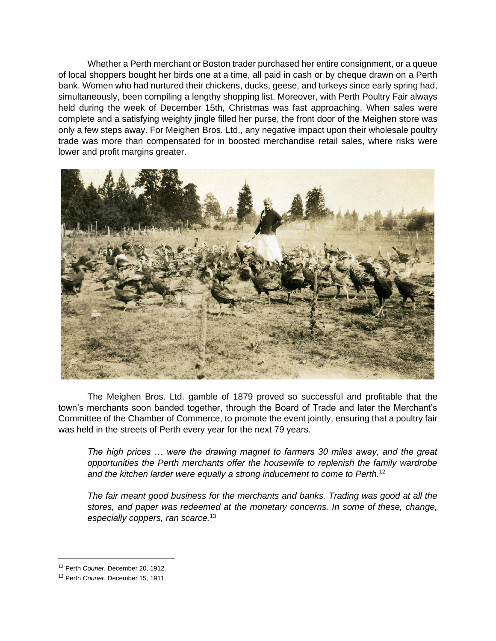Whether a Perth merchant or Boston trader purchased her entire consignment, or a queue of local shoppers bought her birds one at a time, all paid in cash or by cheque drawn on a Perth bank. Women who had nurtured their chickens, ducks, geese, and turkeys since early spring had, simultaneously, been compiling a lengthy shopping list. Moreover, with Perth Poultry Fair always held during the week of December 15th, Christmas was fast approaching. When sales were complete and a satisfying weighty jingle filled her purse, the front door of the Meighen store was only a few steps away. For Meighen Bros. Ltd., any negative impact upon their wholesale poultry trade was more than compensated for in boosted merchandise retail sales, where risks were lower and profit margins greater.



The Meighen Bros. Ltd. gamble of 1879 proved so successful and profitable that the town's merchants soon banded together, through the Board of Trade and later the Merchant's Committee of the Chamber of Commerce, to promote the event jointly, ensuring that a poultry fair was held in the streets of Perth every year for the next 79 years.

*The high prices … were the drawing magnet to farmers 30 miles away, and the great opportunities the Perth merchants offer the housewife to replenish the family wardrobe and the kitchen larder were equally a strong inducement to come to Perth.*<sup>12</sup>

*The fair meant good business for the merchants and banks. Trading was good at all the stores, and paper was redeemed at the monetary concerns. In some of these, change, especially coppers, ran scarce.*<sup>13</sup>

<sup>12</sup> Perth *Courier*, December 20, 1912.

<sup>13</sup> Perth *Courier*, December 15, 1911.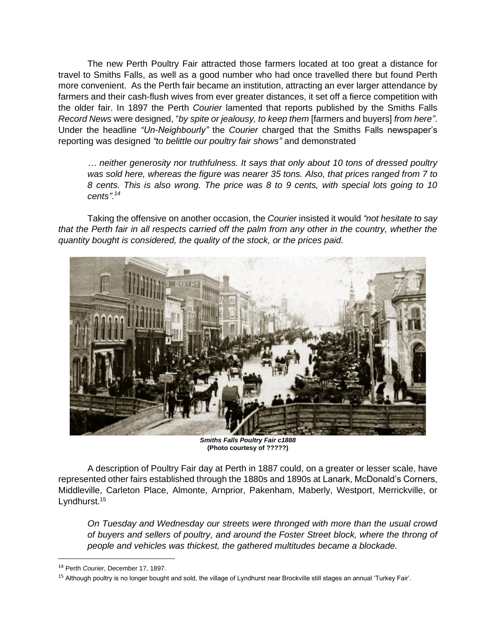The new Perth Poultry Fair attracted those farmers located at too great a distance for travel to Smiths Falls, as well as a good number who had once travelled there but found Perth more convenient. As the Perth fair became an institution, attracting an ever larger attendance by farmers and their cash-flush wives from ever greater distances, it set off a fierce competition with the older fair. In 1897 the Perth *Courier* lamented that reports published by the Smiths Falls *Record News* were designed, "*by spite or jealousy, to keep them* [farmers and buyers] *from here"*. Under the headline *"Un-Neighbourly"* the *Courier* charged that the Smiths Falls newspaper's reporting was designed *"to belittle our poultry fair shows"* and demonstrated

*… neither generosity nor truthfulness. It says that only about 10 tons of dressed poultry was sold here, whereas the figure was nearer 35 tons. Also, that prices ranged from 7 to 8 cents. This is also wrong. The price was 8 to 9 cents, with special lots going to 10 cents".<sup>14</sup>*

Taking the offensive on another occasion, the *Courier* insisted it would *"not hesitate to say that the Perth fair in all respects carried off the palm from any other in the country, whether the quantity bought is considered, the quality of the stock, or the prices paid.* 



*Smiths Falls Poultry Fair c1888* **(Photo courtesy of ?????)**

A description of Poultry Fair day at Perth in 1887 could, on a greater or lesser scale, have represented other fairs established through the 1880s and 1890s at Lanark, McDonald's Corners, Middleville, Carleton Place, Almonte, Arnprior, Pakenham, Maberly, Westport, Merrickville, or Lyndhurst.<sup>15</sup>

*On Tuesday and Wednesday our streets were thronged with more than the usual crowd of buyers and sellers of poultry, and around the Foster Street block, where the throng of people and vehicles was thickest, the gathered multitudes became a blockade.* 

<sup>14</sup> Perth *Courier*, December 17, 1897.

<sup>&</sup>lt;sup>15</sup> Although poultry is no longer bought and sold, the village of Lyndhurst near Brockville still stages an annual 'Turkey Fair'.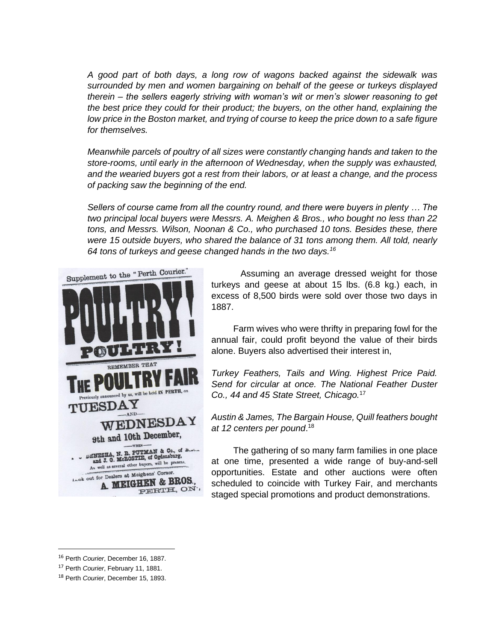*A good part of both days, a long row of wagons backed against the sidewalk was surrounded by men and women bargaining on behalf of the geese or turkeys displayed therein – the sellers eagerly striving with woman's wit or men's slower reasoning to get the best price they could for their product; the buyers, on the other hand, explaining the low price in the Boston market, and trying of course to keep the price down to a safe figure for themselves.* 

*Meanwhile parcels of poultry of all sizes were constantly changing hands and taken to the store-rooms, until early in the afternoon of Wednesday, when the supply was exhausted, and the wearied buyers got a rest from their labors, or at least a change, and the process of packing saw the beginning of the end.* 

*Sellers of course came from all the country round, and there were buyers in plenty … The two principal local buyers were Messrs. A. Meighen & Bros., who bought no less than 22 tons, and Messrs. Wilson, Noonan & Co., who purchased 10 tons. Besides these, there were 15 outside buyers, who shared the balance of 31 tons among them. All told, nearly 64 tons of turkeys and geese changed hands in the two days.<sup>16</sup>* 



Assuming an average dressed weight for those turkeys and geese at about 15 lbs. (6.8 kg.) each, in excess of 8,500 birds were sold over those two days in 1887.

Farm wives who were thrifty in preparing fowl for the annual fair, could profit beyond the value of their birds alone. Buyers also advertised their interest in,

*Turkey Feathers, Tails and Wing. Highest Price Paid. Send for circular at once. The National Feather Duster Co., 44 and 45 State Street, Chicago.*<sup>17</sup>

*Austin & James, The Bargain House, Quill feathers bought at 12 centers per pound*. 18

The gathering of so many farm families in one place at one time, presented a wide range of buy-and-sell opportunities. Estate and other auctions were often scheduled to coincide with Turkey Fair, and merchants staged special promotions and product demonstrations.

<sup>16</sup> Perth *Courier*, December 16, 1887.

<sup>17</sup> Perth *Courier*, February 11, 1881.

<sup>18</sup> Perth *Courier*, December 15, 1893.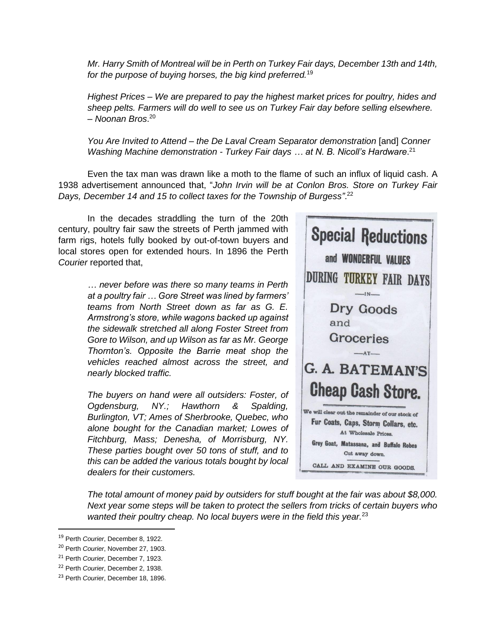*Mr. Harry Smith of Montreal will be in Perth on Turkey Fair days, December 13th and 14th, for the purpose of buying horses, the big kind preferred.*<sup>19</sup>

*Highest Prices – We are prepared to pay the highest market prices for poultry, hides and sheep pelts. Farmers will do well to see us on Turkey Fair day before selling elsewhere. – Noonan Bros*. 20

*You Are Invited to Attend – the De Laval Cream Separator demonstration* [and] *Conner Washing Machine demonstration - Turkey Fair days … at N. B. Nicoll's Hardware*. 21

Even the tax man was drawn like a moth to the flame of such an influx of liquid cash. A 1938 advertisement announced that, "*John Irvin will be at Conlon Bros. Store on Turkey Fair Days, December 14 and 15 to collect taxes for the Township of Burgess"*. 22

In the decades straddling the turn of the 20th century, poultry fair saw the streets of Perth jammed with farm rigs, hotels fully booked by out-of-town buyers and local stores open for extended hours. In 1896 the Perth *Courier* reported that,

> *… never before was there so many teams in Perth at a poultry fair … Gore Street was lined by farmers' teams from North Street down as far as G. E. Armstrong's store, while wagons backed up against the sidewalk stretched all along Foster Street from Gore to Wilson, and up Wilson as far as Mr. George Thornton's. Opposite the Barrie meat shop the vehicles reached almost across the street, and nearly blocked traffic.*

> *The buyers on hand were all outsiders: Foster, of Ogdensburg, NY.; Hawthorn & Spalding, Burlington, VT; Ames of Sherbrooke, Quebec, who alone bought for the Canadian market; Lowes of Fitchburg, Mass; Denesha, of Morrisburg, NY. These parties bought over 50 tons of stuff, and to this can be added the various totals bought by local dealers for their customers.*



*The total amount of money paid by outsiders for stuff bought at the fair was about \$8,000. Next year some steps will be taken to protect the sellers from tricks of certain buyers who wanted their poultry cheap. No local buyers were in the field this year.*<sup>23</sup>

<sup>19</sup> Perth *Courier*, December 8, 1922.

<sup>20</sup> Perth *Courier*, November 27, 1903.

<sup>21</sup> Perth *Courier*, December 7, 1923.

<sup>22</sup> Perth *Courier*, December 2, 1938.

<sup>23</sup> Perth *Courier*, December 18, 1896.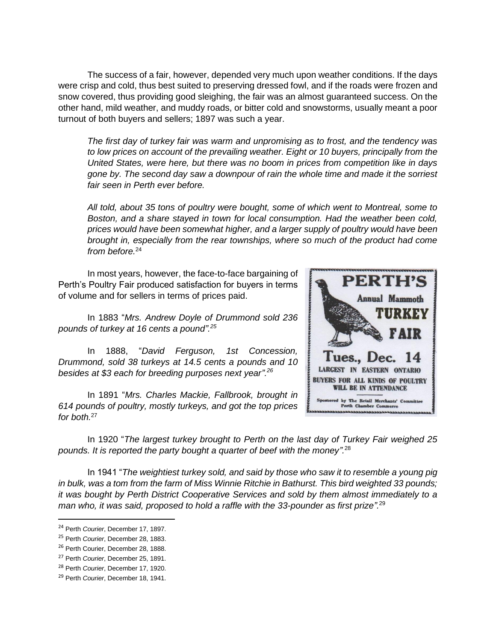The success of a fair, however, depended very much upon weather conditions. If the days were crisp and cold, thus best suited to preserving dressed fowl, and if the roads were frozen and snow covered, thus providing good sleighing, the fair was an almost guaranteed success. On the other hand, mild weather, and muddy roads, or bitter cold and snowstorms, usually meant a poor turnout of both buyers and sellers; 1897 was such a year.

*The first day of turkey fair was warm and unpromising as to frost, and the tendency was to low prices on account of the prevailing weather. Eight or 10 buyers, principally from the United States, were here, but there was no boom in prices from competition like in days gone by. The second day saw a downpour of rain the whole time and made it the sorriest fair seen in Perth ever before.* 

*All told, about 35 tons of poultry were bought, some of which went to Montreal, some to Boston, and a share stayed in town for local consumption. Had the weather been cold, prices would have been somewhat higher, and a larger supply of poultry would have been brought in, especially from the rear townships, where so much of the product had come from before.*<sup>24</sup>

In most years, however, the face-to-face bargaining of Perth's Poultry Fair produced satisfaction for buyers in terms of volume and for sellers in terms of prices paid.

In 1883 "*Mrs. Andrew Doyle of Drummond sold 236 pounds of turkey at 16 cents a pound". 25*

In 1888, "*David Ferguson, 1st Concession, Drummond, sold 38 turkeys at 14.5 cents a pounds and 10 besides at \$3 each for breeding purposes next year". 26*

In 1891 "*Mrs. Charles Mackie, Fallbrook, brought in 614 pounds of poultry, mostly turkeys, and got the top prices for both.*<sup>27</sup>



In 1920 "*The largest turkey brought to Perth on the last day of Turkey Fair weighed 25 pounds. It is reported the party bought a quarter of beef with the money".* 28

In 1941 "*The weightiest turkey sold, and said by those who saw it to resemble a young pig in bulk, was a tom from the farm of Miss Winnie Ritchie in Bathurst. This bird weighted 33 pounds; it was bought by Perth District Cooperative Services and sold by them almost immediately to a man who, it was said, proposed to hold a raffle with the 33-pounder as first prize".* 29

<sup>24</sup> Perth *Courier*, December 17, 1897.

<sup>25</sup> Perth *Courier*, December 28, 1883.

<sup>&</sup>lt;sup>26</sup> Perth Courier, December 28, 1888.

<sup>27</sup> Perth *Courier*, December 25, 1891.

<sup>28</sup> Perth *Courier*, December 17, 1920.

<sup>29</sup> Perth *Courier*, December 18, 1941.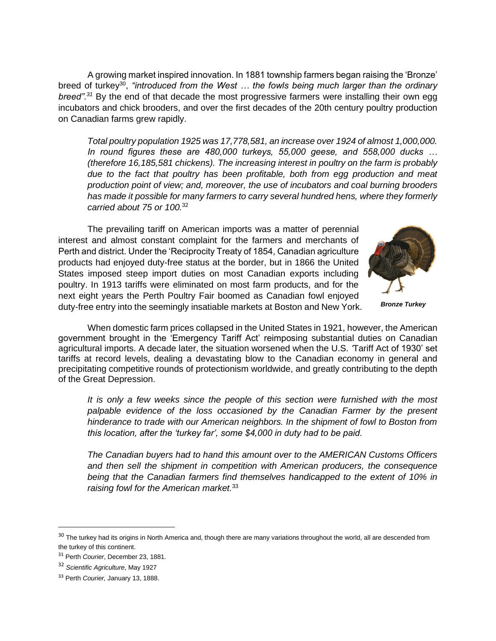A growing market inspired innovation. In 1881 township farmers began raising the 'Bronze' breed of turkey<sup>30</sup>, "introduced from the West ... the fowls being much larger than the ordinary *breed".<sup>31</sup>* By the end of that decade the most progressive farmers were installing their own egg incubators and chick brooders, and over the first decades of the 20th century poultry production on Canadian farms grew rapidly.

*Total poultry population 1925 was 17,778,581, an increase over 1924 of almost 1,000,000. In round figures these are 480,000 turkeys, 55,000 geese, and 558,000 ducks … (therefore 16,185,581 chickens). The increasing interest in poultry on the farm is probably*  due to the fact that poultry has been profitable, both from egg production and meat *production point of view; and, moreover, the use of incubators and coal burning brooders has made it possible for many farmers to carry several hundred hens, where they formerly carried about 75 or 100.*<sup>32</sup>

The prevailing tariff on American imports was a matter of perennial interest and almost constant complaint for the farmers and merchants of Perth and district. Under the 'Reciprocity Treaty of 1854, Canadian agriculture products had enjoyed duty-free status at the border, but in 1866 the United States imposed steep import duties on most Canadian exports including poultry. In 1913 tariffs were eliminated on most farm products, and for the next eight years the Perth Poultry Fair boomed as Canadian fowl enjoyed duty-free entry into the seemingly insatiable markets at Boston and New York.



*Bronze Turkey*

When domestic farm prices collapsed in the United States in 1921, however, the American government brought in the 'Emergency Tariff Act' reimposing substantial duties on Canadian agricultural imports. A decade later, the situation worsened when the U.S. *'*Tariff Act of 1930' set tariffs at record levels, dealing a devastating blow to the Canadian economy in general and precipitating competitive rounds of protectionism worldwide, and greatly contributing to the depth of the Great Depression.

*It is only a few weeks since the people of this section were furnished with the most palpable evidence of the loss occasioned by the Canadian Farmer by the present hinderance to trade with our American neighbors. In the shipment of fowl to Boston from this location, after the 'turkey far', some \$4,000 in duty had to be paid.* 

*The Canadian buyers had to hand this amount over to the AMERICAN Customs Officers and then sell the shipment in competition with American producers, the consequence being that the Canadian farmers find themselves handicapped to the extent of 10% in raising fowl for the American market.*<sup>33</sup>

<sup>&</sup>lt;sup>30</sup> The turkey had its origins in North America and, though there are many variations throughout the world, all are descended from the turkey of this continent.

<sup>31</sup> Perth *Courier*, December 23, 1881.

<sup>32</sup> *Scientific Agriculture*, May 1927

<sup>33</sup> Perth *Courier,* January 13, 1888.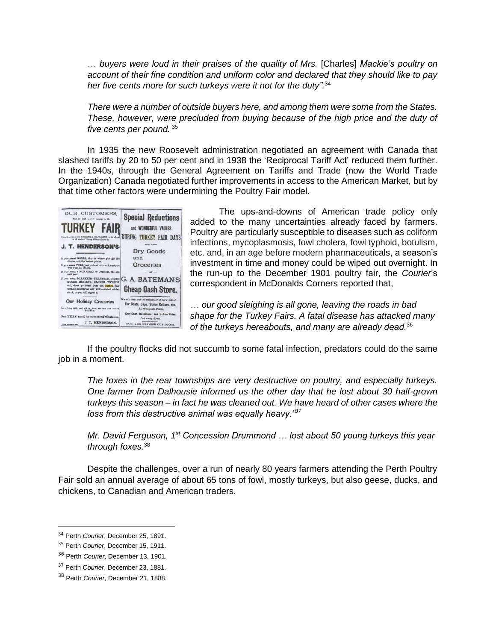… *buyers were loud in their praises of the quality of Mrs.* [Charles] *Mackie's poultry on account of their fine condition and uniform color and declared that they should like to pay her five cents more for such turkeys were it not for the duty".* 34

*There were a number of outside buyers here, and among them were some from the States. These, however, were precluded from buying because of the high price and the duty of five cents per pound.* <sup>35</sup>

In 1935 the new Roosevelt administration negotiated an agreement with Canada that slashed tariffs by 20 to 50 per cent and in 1938 the 'Reciprocal Tariff Act' reduced them further. In the 1940s, through the General Agreement on Tariffs and Trade (now the World Trade Organization) Canada negotiated further improvements in access to the American Market, but by that time other factors were undermining the Poultry Fair model.



The ups-and-downs of American trade policy only added to the many uncertainties already faced by farmers. Poultry are particularly susceptible to diseases such as coliform infections, mycoplasmosis, fowl cholera, fowl typhoid, botulism, etc. and, in an age before modern pharmaceuticals, a season's investment in time and money could be wiped out overnight. In the run-up to the December 1901 poultry fair, the *Courier*'s correspondent in McDonalds Corners reported that,

*… our good sleighing is all gone, leaving the roads in bad shape for the Turkey Fairs. A fatal disease has attacked many of the turkeys hereabouts, and many are already dead.*<sup>36</sup>

If the poultry flocks did not succumb to some fatal infection, predators could do the same job in a moment.

*The foxes in the rear townships are very destructive on poultry, and especially turkeys. One farmer from Dalhousie informed us the other day that he lost about 30 half-grown turkeys this season – in fact he was cleaned out. We have heard of other cases where the loss from this destructive animal was equally heavy."<sup>37</sup>*

*Mr. David Ferguson, 1st Concession Drummond … lost about 50 young turkeys this year through foxes.*<sup>38</sup>

Despite the challenges, over a run of nearly 80 years farmers attending the Perth Poultry Fair sold an annual average of about 65 tons of fowl, mostly turkeys, but also geese, ducks, and chickens, to Canadian and American traders.

<sup>34</sup> Perth *Courier*, December 25, 1891.

<sup>35</sup> Perth *Courier*, December 15, 1911.

<sup>36</sup> Perth *Courier*, December 13, 1901.

<sup>37</sup> Perth *Courier*, December 23, 1881.

<sup>38</sup> Perth *Courier*, December 21, 1888.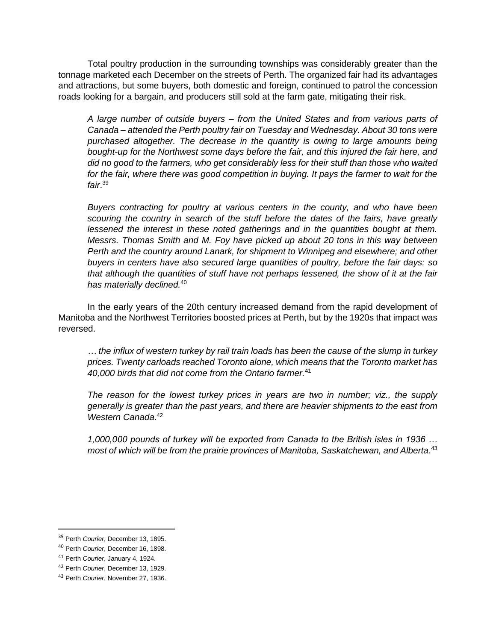Total poultry production in the surrounding townships was considerably greater than the tonnage marketed each December on the streets of Perth. The organized fair had its advantages and attractions, but some buyers, both domestic and foreign, continued to patrol the concession roads looking for a bargain, and producers still sold at the farm gate, mitigating their risk.

*A large number of outside buyers – from the United States and from various parts of Canada – attended the Perth poultry fair on Tuesday and Wednesday. About 30 tons were*  purchased altogether. The decrease in the quantity is owing to large amounts being *bought-up for the Northwest some days before the fair, and this injured the fair here, and did no good to the farmers, who get considerably less for their stuff than those who waited*  for the fair, where there was good competition in buying. It pays the farmer to wait for the *fair*. 39

*Buyers contracting for poultry at various centers in the county, and who have been scouring the country in search of the stuff before the dates of the fairs, have greatly lessened the interest in these noted gatherings and in the quantities bought at them. Messrs. Thomas Smith and M. Foy have picked up about 20 tons in this way between Perth and the country around Lanark, for shipment to Winnipeg and elsewhere; and other buyers in centers have also secured large quantities of poultry, before the fair days: so that although the quantities of stuff have not perhaps lessened, the show of it at the fair has materially declined.*<sup>40</sup>

In the early years of the 20th century increased demand from the rapid development of Manitoba and the Northwest Territories boosted prices at Perth, but by the 1920s that impact was reversed.

*… the influx of western turkey by rail train loads has been the cause of the slump in turkey prices. Twenty carloads reached Toronto alone, which means that the Toronto market has 40,000 birds that did not come from the Ontario farmer.*<sup>41</sup>

*The reason for the lowest turkey prices in years are two in number; viz., the supply generally is greater than the past years, and there are heavier shipments to the east from Western Canada*. 42

*1,000,000 pounds of turkey will be exported from Canada to the British isles in 1936 … most of which will be from the prairie provinces of Manitoba, Saskatchewan, and Alberta*. 43

<sup>39</sup> Perth *Courier*, December 13, 1895.

<sup>40</sup> Perth *Courier*, December 16, 1898.

<sup>41</sup> Perth *Courier*, January 4, 1924.

<sup>42</sup> Perth *Courier*, December 13, 1929.

<sup>43</sup> Perth *Courier*, November 27, 1936.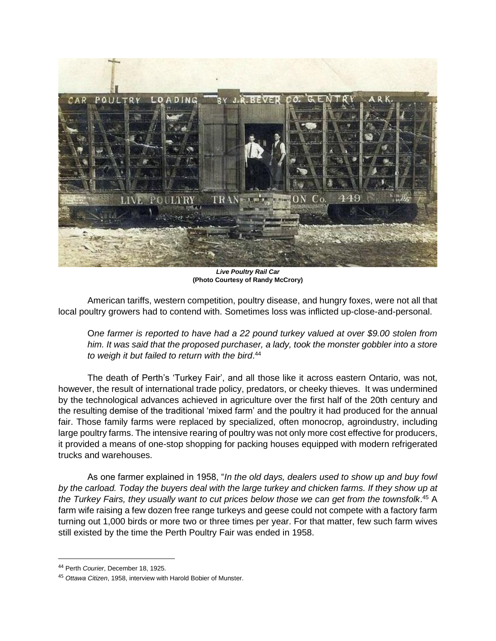

*Live Poultry Rail Car* **(Photo Courtesy of Randy McCrory)**

American tariffs, western competition, poultry disease, and hungry foxes, were not all that local poultry growers had to contend with. Sometimes loss was inflicted up-close-and-personal.

O*ne farmer is reported to have had a 22 pound turkey valued at over \$9.00 stolen from him. It was said that the proposed purchaser, a lady, took the monster gobbler into a store to weigh it but failed to return with the bird*. 44

The death of Perth's 'Turkey Fair', and all those like it across eastern Ontario, was not, however, the result of international trade policy, predators, or cheeky thieves. It was undermined by the technological advances achieved in agriculture over the first half of the 20th century and the resulting demise of the traditional 'mixed farm' and the poultry it had produced for the annual fair. Those family farms were replaced by specialized, often monocrop, agroindustry, including large poultry farms. The intensive rearing of poultry was not only more cost effective for producers, it provided a means of one-stop shopping for packing houses equipped with modern refrigerated trucks and warehouses.

As one farmer explained in 1958, "*In the old days, dealers used to show up and buy fowl by the carload. Today the buyers deal with the large turkey and chicken farms. If they show up at the Turkey Fairs, they usually want to cut prices below those we can get from the townsfolk*. <sup>45</sup> A farm wife raising a few dozen free range turkeys and geese could not compete with a factory farm turning out 1,000 birds or more two or three times per year. For that matter, few such farm wives still existed by the time the Perth Poultry Fair was ended in 1958.

<sup>44</sup> Perth *Courier*, December 18, 1925.

<sup>45</sup> *Ottawa Citizen*, 1958, interview with Harold Bobier of Munster.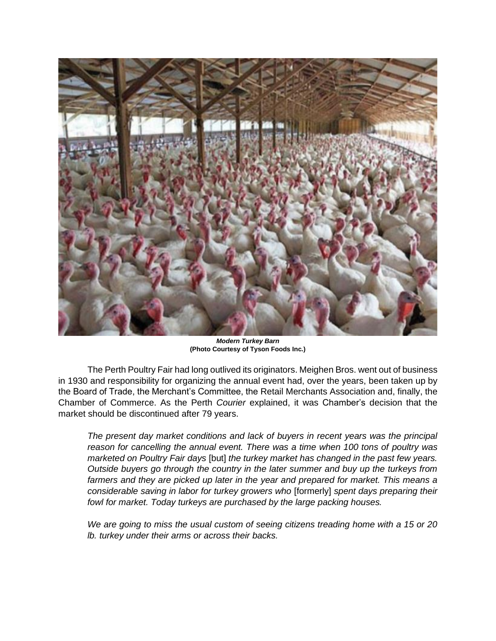

*Modern Turkey Barn* **(Photo Courtesy of Tyson Foods Inc.)**

The Perth Poultry Fair had long outlived its originators. Meighen Bros. went out of business in 1930 and responsibility for organizing the annual event had, over the years, been taken up by the Board of Trade, the Merchant's Committee, the Retail Merchants Association and, finally, the Chamber of Commerce. As the Perth *Courier* explained, it was Chamber's decision that the market should be discontinued after 79 years.

*The present day market conditions and lack of buyers in recent years was the principal reason for cancelling the annual event. There was a time when 100 tons of poultry was marketed on Poultry Fair days* [but] *the turkey market has changed in the past few years. Outside buyers go through the country in the later summer and buy up the turkeys from farmers and they are picked up later in the year and prepared for market. This means a considerable saving in labor for turkey growers who* [formerly] *spent days preparing their fowl for market. Today turkeys are purchased by the large packing houses.*

*We are going to miss the usual custom of seeing citizens treading home with a 15 or 20 lb. turkey under their arms or across their backs.*